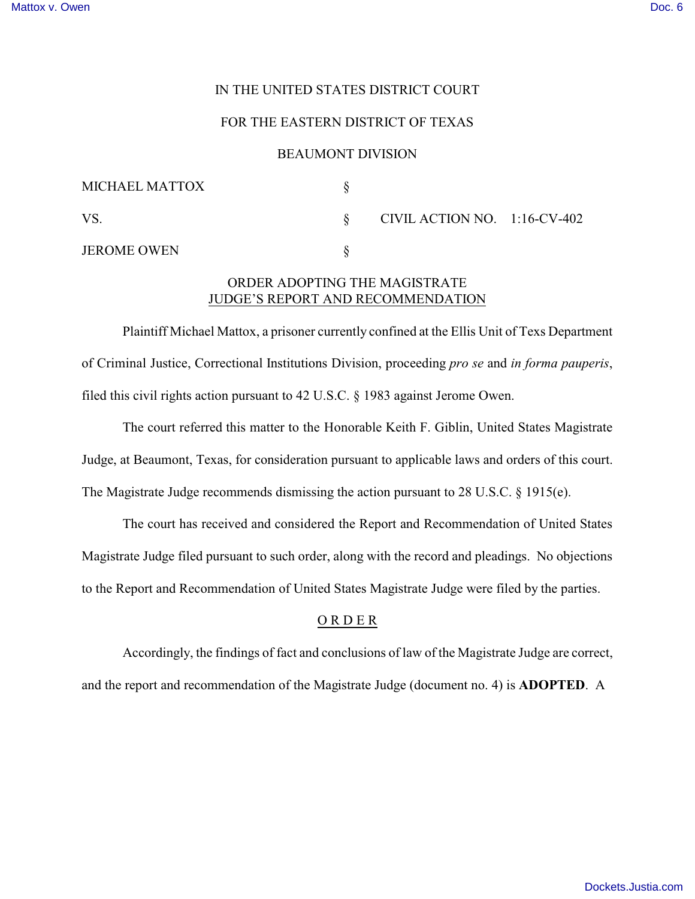## IN THE UNITED STATES DISTRICT COURT

## FOR THE EASTERN DISTRICT OF TEXAS

#### BEAUMONT DIVISION

| MICHAEL MATTOX     |                              |  |
|--------------------|------------------------------|--|
| VS.                | CIVIL ACTION NO. 1:16-CV-402 |  |
| <b>JEROME OWEN</b> |                              |  |

# ORDER ADOPTING THE MAGISTRATE JUDGE'S REPORT AND RECOMMENDATION

Plaintiff Michael Mattox, a prisoner currently confined at the Ellis Unit of Texs Department of Criminal Justice, Correctional Institutions Division, proceeding *pro se* and *in forma pauperis*, filed this civil rights action pursuant to 42 U.S.C. § 1983 against Jerome Owen.

The court referred this matter to the Honorable Keith F. Giblin, United States Magistrate Judge, at Beaumont, Texas, for consideration pursuant to applicable laws and orders of this court. The Magistrate Judge recommends dismissing the action pursuant to 28 U.S.C. § 1915(e).

The court has received and considered the Report and Recommendation of United States Magistrate Judge filed pursuant to such order, along with the record and pleadings. No objections to the Report and Recommendation of United States Magistrate Judge were filed by the parties.

# O R D E R

Accordingly, the findings of fact and conclusions of law of the Magistrate Judge are correct,

and the report and recommendation of the Magistrate Judge (document no. 4) is **ADOPTED**. A